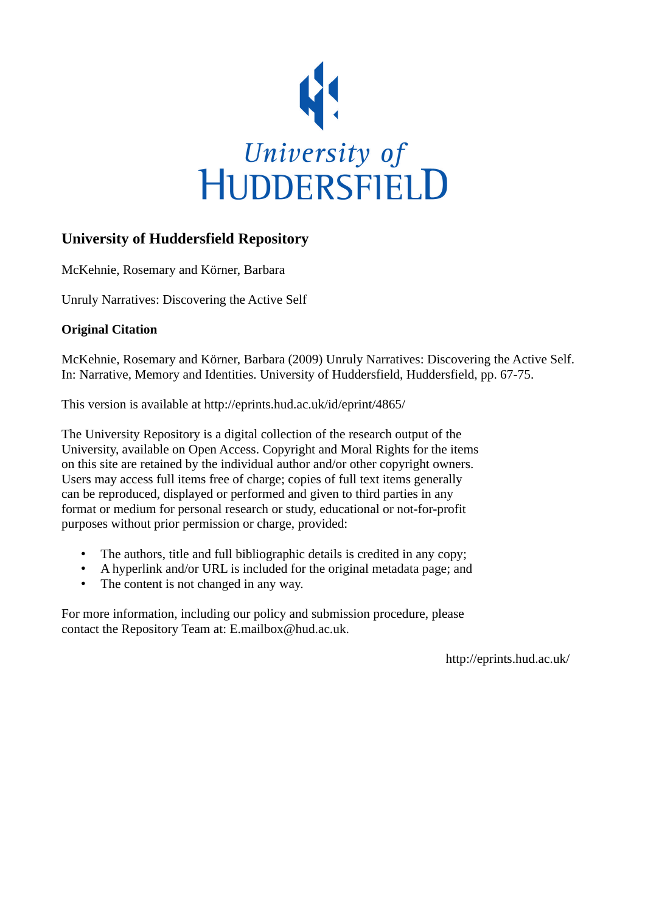

## **University of Huddersfield Repository**

McKehnie, Rosemary and Körner, Barbara

Unruly Narratives: Discovering the Active Self

### **Original Citation**

McKehnie, Rosemary and Körner, Barbara (2009) Unruly Narratives: Discovering the Active Self. In: Narrative, Memory and Identities. University of Huddersfield, Huddersfield, pp. 67-75.

This version is available at http://eprints.hud.ac.uk/id/eprint/4865/

The University Repository is a digital collection of the research output of the University, available on Open Access. Copyright and Moral Rights for the items on this site are retained by the individual author and/or other copyright owners. Users may access full items free of charge; copies of full text items generally can be reproduced, displayed or performed and given to third parties in any format or medium for personal research or study, educational or not-for-profit purposes without prior permission or charge, provided:

- The authors, title and full bibliographic details is credited in any copy;
- A hyperlink and/or URL is included for the original metadata page; and
- The content is not changed in any way.

For more information, including our policy and submission procedure, please contact the Repository Team at: E.mailbox@hud.ac.uk.

http://eprints.hud.ac.uk/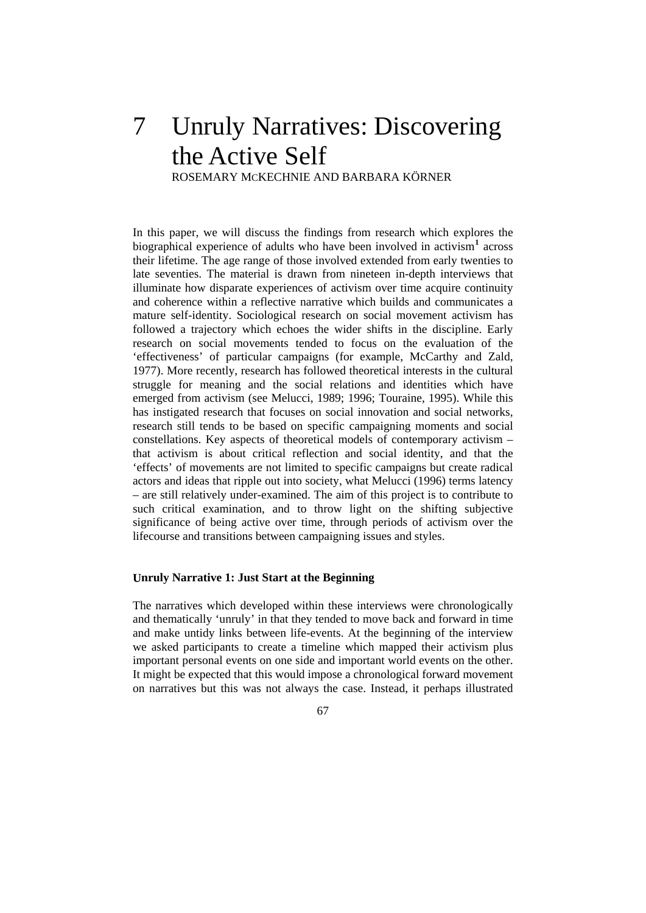# 7 Unruly Narratives: Discovering the Active Self

ROSEMARY MCKECHNIE AND BARBARA KÖRNER

significance of being active over time, through periods of activism over the lifecourse and transitions between campaigning issues and styles. In this paper, we will discuss the findings from research which explores the biographical experience of adults who have been involved in activism<sup>[1](#page-10-0)</sup> across their lifetime. The age range of those involved extended from early twenties to late seventies. The material is drawn from nineteen in-depth interviews that illuminate how disparate experiences of activism over time acquire continuity and coherence within a reflective narrative which builds and communicates a mature self-identity. Sociological research on social movement activism has followed a trajectory which echoes the wider shifts in the discipline. Early research on social movements tended to focus on the evaluation of the 'effectiveness' of particular campaigns (for example, McCarthy and Zald, 1977). More recently, research has followed theoretical interests in the cultural struggle for meaning and the social relations and identities which have emerged from activism (see Melucci, 1989; 1996; Touraine, 1995). While this has instigated research that focuses on social innovation and social networks, research still tends to be based on specific campaigning moments and social constellations. Key aspects of theoretical models of contemporary activism – that activism is about critical reflection and social identity, and that the 'effects' of movements are not limited to specific campaigns but create radical actors and ideas that ripple out into society, what Melucci (1996) terms latency – are still relatively under-examined. The aim of this project is to contribute to such critical examination, and to throw light on the shifting subjective

#### **Unruly Narrative 1: Just Start at the Beginning**

The narratives which developed within these interviews were chronologically and thematically 'unruly' in that they tended to move back and forward in time and make untidy links between life-events. At the beginning of the interview we asked participants to create a timeline which mapped their activism plus important personal events on one side and important world events on the other. It might be expected that this would impose a chronological forward movement on narratives but this was not always the case. Instead, it perhaps illustrated

67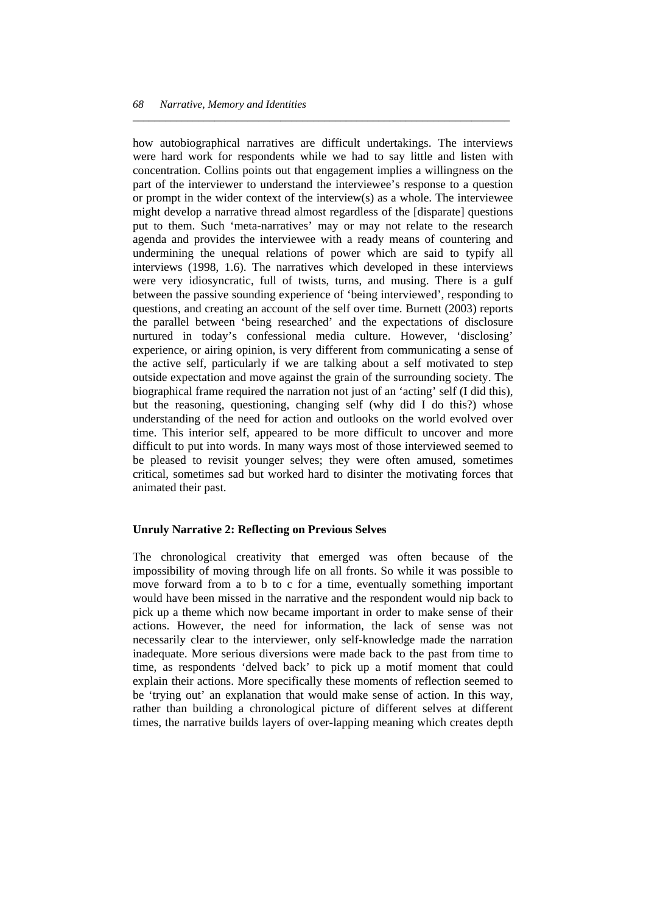critical, sometimes sad but worked hard to disinter the motivating forces that nimated their past. a how autobiographical narratives are difficult undertakings. The interviews were hard work for respondents while we had to say little and listen with concentration. Collins points out that engagement implies a willingness on the part of the interviewer to understand the interviewee's response to a question or prompt in the wider context of the interview(s) as a whole. The interviewee might develop a narrative thread almost regardless of the [disparate] questions put to them. Such 'meta-narratives' may or may not relate to the research agenda and provides the interviewee with a ready means of countering and undermining the unequal relations of power which are said to typify all interviews (1998, 1.6). The narratives which developed in these interviews were very idiosyncratic, full of twists, turns, and musing. There is a gulf between the passive sounding experience of 'being interviewed', responding to questions, and creating an account of the self over time. Burnett (2003) reports the parallel between 'being researched' and the expectations of disclosure nurtured in today's confessional media culture. However, 'disclosing' experience, or airing opinion, is very different from communicating a sense of the active self, particularly if we are talking about a self motivated to step outside expectation and move against the grain of the surrounding society. The biographical frame required the narration not just of an 'acting' self (I did this), but the reasoning, questioning, changing self (why did I do this?) whose understanding of the need for action and outlooks on the world evolved over time. This interior self, appeared to be more difficult to uncover and more difficult to put into words. In many ways most of those interviewed seemed to be pleased to revisit younger selves; they were often amused, sometimes

*\_\_\_\_\_\_\_\_\_\_\_\_\_\_\_\_\_\_\_\_\_\_\_\_\_\_\_\_\_\_\_\_\_\_\_\_\_\_\_\_\_\_\_\_\_\_\_\_\_\_\_\_\_\_\_\_\_\_\_\_\_\_\_\_\_\_\_\_\_* 

#### **Unruly Narrative 2: Reflecting on Previous Selves**

The chronological creativity that emerged was often because of the impossibility of moving through life on all fronts. So while it was possible to move forward from a to b to c for a time, eventually something important would have been missed in the narrative and the respondent would nip back to pick up a theme which now became important in order to make sense of their actions. However, the need for information, the lack of sense was not necessarily clear to the interviewer, only self-knowledge made the narration inadequate. More serious diversions were made back to the past from time to time, as respondents 'delved back' to pick up a motif moment that could explain their actions. More specifically these moments of reflection seemed to be 'trying out' an explanation that would make sense of action. In this way, rather than building a chronological picture of different selves at different times, the narrative builds layers of over-lapping meaning which creates depth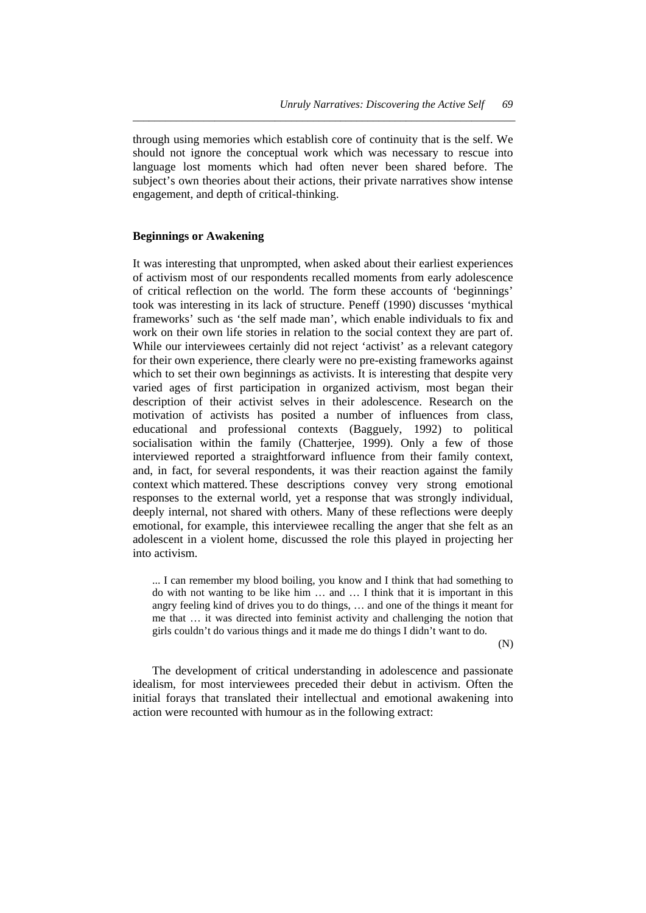subject's own theories about their actions, their private narratives show intense engagement, and depth of critical-thinking. through using memories which establish core of continuity that is the self. We should not ignore the conceptual work which was necessary to rescue into language lost moments which had often never been shared before. The

*\_\_\_\_\_\_\_\_\_\_\_\_\_\_\_\_\_\_\_\_\_\_\_\_\_\_\_\_\_\_\_\_\_\_\_\_\_\_\_\_\_\_\_\_\_\_\_\_\_\_\_\_\_\_\_\_\_\_\_\_\_\_\_\_\_\_\_\_\_\_* 

#### **eginnings or Awakening B**

adolescent in a violent home, discussed the role this played in projecting her into activism. It was interesting that unprompted, when asked about their earliest experiences of activism most of our respondents recalled moments from early adolescence of critical reflection on the world. The form these accounts of 'beginnings' took was interesting in its lack of structure. Peneff (1990) discusses 'mythical frameworks' such as 'the self made man', which enable individuals to fix and work on their own life stories in relation to the social context they are part of. While our interviewees certainly did not reject 'activist' as a relevant category for their own experience, there clearly were no pre-existing frameworks against which to set their own beginnings as activists. It is interesting that despite very varied ages of first participation in organized activism, most began their description of their activist selves in their adolescence. Research on the motivation of activists has posited a number of influences from class, educational and professional contexts (Bagguely, 1992) to political socialisation within the family (Chatterjee, 1999). Only a few of those interviewed reported a straightforward influence from their family context, and, in fact, for several respondents, it was their reaction against the family context which mattered. These descriptions convey very strong emotional responses to the external world, yet a response that was strongly individual, deeply internal, not shared with others. Many of these reflections were deeply emotional, for example, this interviewee recalling the anger that she felt as an

me that ... it was directed into feminist activity and challenging the notion that ... I can remember my blood boiling, you know and I think that had something to do with not wanting to be like him … and … I think that it is important in this angry feeling kind of drives you to do things, … and one of the things it meant for girls couldn't do various things and it made me do things I didn't want to do.

(N)

initial forays that translated their intellectual and emotional awakening into action were recounted with humour as in the following extract: The development of critical understanding in adolescence and passionate idealism, for most interviewees preceded their debut in activism. Often the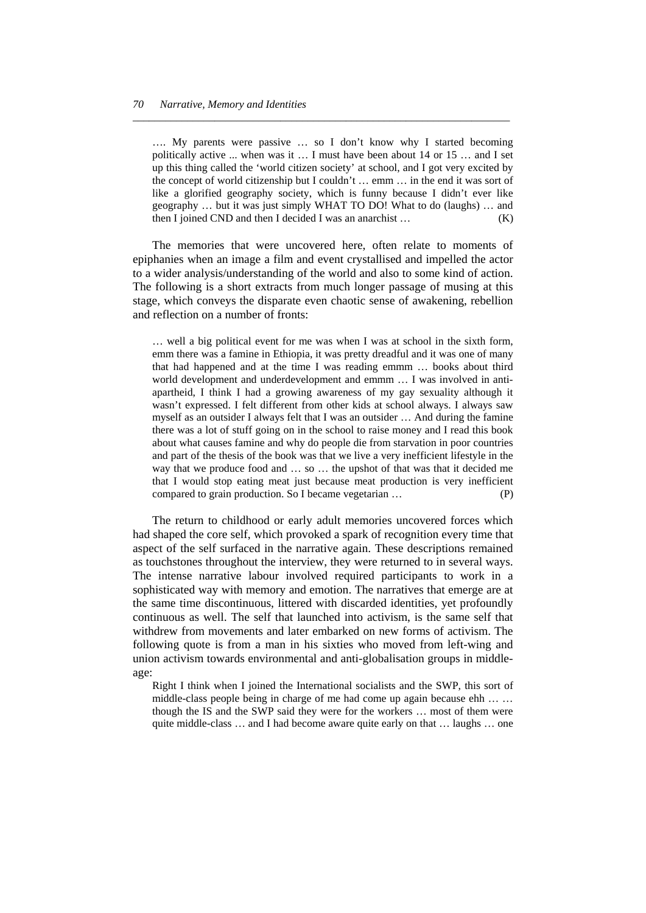…. My parents were passive … so I don't know why I started becoming politically active ... when was it … I must have been about 14 or 15 … and I set up this thing called the 'world citizen society' at school, and I got very excited by the concept of world citizenship but I couldn't … emm … in the end it was sort of like a glorified geography society, which is funny because I didn't ever like geography … but it was just simply WHAT TO DO! What to do (laughs) … and then I joined CND and then I decided I was an anarchist … (K)

*\_\_\_\_\_\_\_\_\_\_\_\_\_\_\_\_\_\_\_\_\_\_\_\_\_\_\_\_\_\_\_\_\_\_\_\_\_\_\_\_\_\_\_\_\_\_\_\_\_\_\_\_\_\_\_\_\_\_\_\_\_\_\_\_\_\_\_\_\_* 

 The memories that were uncovered here, often relate to moments of epiphanies when an image a film and event crystallised and impelled the actor to a wider analysis/understanding of the world and also to some kind of action. The following is a short extracts from much longer passage of musing at this stage, which conveys the disparate even chaotic sense of awakening, rebellion and reflection on a number of fronts:

… well a big political event for me was when I was at school in the sixth form, emm there was a famine in Ethiopia, it was pretty dreadful and it was one of many that had happened and at the time I was reading emmm … books about third world development and underdevelopment and emmm … I was involved in antiapartheid, I think I had a growing awareness of my gay sexuality although it wasn't expressed. I felt different from other kids at school always. I always saw myself as an outsider I always felt that I was an outsider … And during the famine there was a lot of stuff going on in the school to raise money and I read this book about what causes famine and why do people die from starvation in poor countries and part of the thesis of the book was that we live a very inefficient lifestyle in the way that we produce food and … so … the upshot of that was that it decided me that I would stop eating meat just because meat production is very inefficient compared to grain production. So I became vegetarian … (P)

 The return to childhood or early adult memories uncovered forces which had shaped the core self, which provoked a spark of recognition every time that aspect of the self surfaced in the narrative again. These descriptions remained as touchstones throughout the interview, they were returned to in several ways. The intense narrative labour involved required participants to work in a sophisticated way with memory and emotion. The narratives that emerge are at the same time discontinuous, littered with discarded identities, yet profoundly continuous as well. The self that launched into activism, is the same self that withdrew from movements and later embarked on new forms of activism. The following quote is from a man in his sixties who moved from left-wing and union activism towards environmental and anti-globalisation groups in middleage:

Right I think when I joined the International socialists and the SWP, this sort of middle-class people being in charge of me had come up again because ehh … … though the IS and the SWP said they were for the workers … most of them were quite middle-class … and I had become aware quite early on that … laughs … one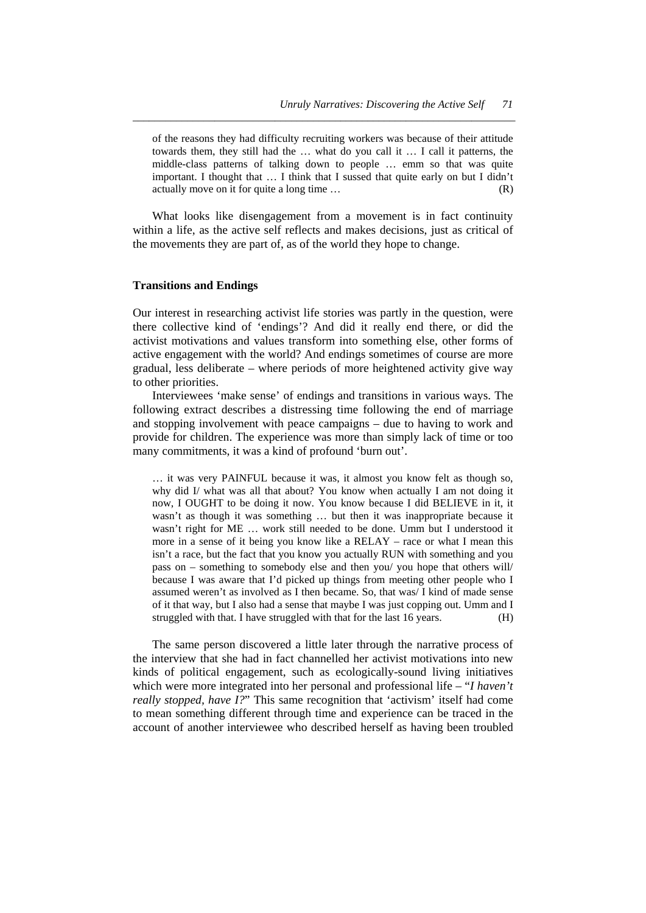of the reasons they had difficulty recruiting workers was because of their attitude towards them, they still had the … what do you call it … I call it patterns, the middle-class patterns of talking down to people … emm so that was quite important. I thought that … I think that I sussed that quite early on but I didn't actually move on it for quite a long time … (R)

*\_\_\_\_\_\_\_\_\_\_\_\_\_\_\_\_\_\_\_\_\_\_\_\_\_\_\_\_\_\_\_\_\_\_\_\_\_\_\_\_\_\_\_\_\_\_\_\_\_\_\_\_\_\_\_\_\_\_\_\_\_\_\_\_\_\_\_\_\_\_* 

 What looks like disengagement from a movement is in fact continuity within a life, as the active self reflects and makes decisions, just as critical of the movements they are part of, as of the world they hope to change.

#### **Transitions and Endings**

Our interest in researching activist life stories was partly in the question, were there collective kind of 'endings'? And did it really end there, or did the activist motivations and values transform into something else, other forms of active engagement with the world? And endings sometimes of course are more gradual, less deliberate – where periods of more heightened activity give way to other priorities.

 Interviewees 'make sense' of endings and transitions in various ways. The following extract describes a distressing time following the end of marriage and stopping involvement with peace campaigns – due to having to work and provide for children. The experience was more than simply lack of time or too many commitments, it was a kind of profound 'burn out'.

… it was very PAINFUL because it was, it almost you know felt as though so, why did I/ what was all that about? You know when actually I am not doing it now, I OUGHT to be doing it now. You know because I did BELIEVE in it, it wasn't as though it was something … but then it was inappropriate because it wasn't right for ME … work still needed to be done. Umm but I understood it more in a sense of it being you know like a RELAY – race or what I mean this isn't a race, but the fact that you know you actually RUN with something and you pass on – something to somebody else and then you/ you hope that others will/ because I was aware that I'd picked up things from meeting other people who I assumed weren't as involved as I then became. So, that was/ I kind of made sense of it that way, but I also had a sense that maybe I was just copping out. Umm and I struggled with that. I have struggled with that for the last 16 years. (H)

 The same person discovered a little later through the narrative process of the interview that she had in fact channelled her activist motivations into new kinds of political engagement, such as ecologically-sound living initiatives which were more integrated into her personal and professional life – "*I haven't really stopped, have I?*" This same recognition that 'activism' itself had come to mean something different through time and experience can be traced in the account of another interviewee who described herself as having been troubled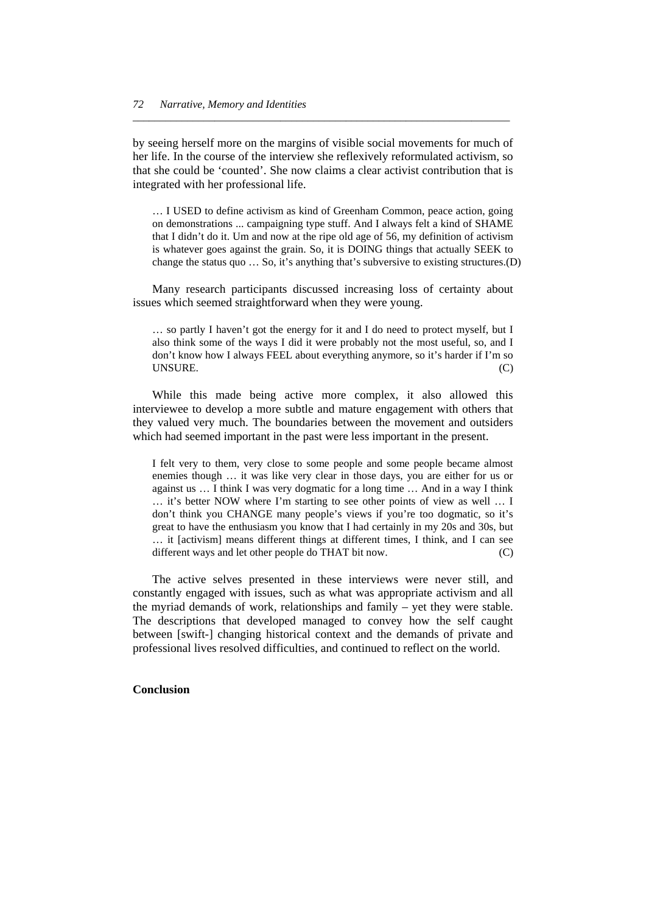by seeing herself more on the margins of visible social movements for much of her life. In the course of the interview she reflexively reformulated activism, so that she could be 'counted'. She now claims a clear activist contribution that is integrated with her professional life.

*\_\_\_\_\_\_\_\_\_\_\_\_\_\_\_\_\_\_\_\_\_\_\_\_\_\_\_\_\_\_\_\_\_\_\_\_\_\_\_\_\_\_\_\_\_\_\_\_\_\_\_\_\_\_\_\_\_\_\_\_\_\_\_\_\_\_\_\_\_* 

… I USED to define activism as kind of Greenham Common, peace action, going on demonstrations ... campaigning type stuff. And I always felt a kind of SHAME that I didn't do it. Um and now at the ripe old age of 56, my definition of activism is whatever goes against the grain. So, it is DOING things that actually SEEK to change the status quo … So, it's anything that's subversive to existing structures.(D)

 Many research participants discussed increasing loss of certainty about issues which seemed straightforward when they were young.

… so partly I haven't got the energy for it and I do need to protect myself, but I also think some of the ways I did it were probably not the most useful, so, and I don't know how I always FEEL about everything anymore, so it's harder if I'm so UNSURE. (C)

 While this made being active more complex, it also allowed this interviewee to develop a more subtle and mature engagement with others that they valued very much. The boundaries between the movement and outsiders which had seemed important in the past were less important in the present.

I felt very to them, very close to some people and some people became almost enemies though … it was like very clear in those days, you are either for us or against us … I think I was very dogmatic for a long time … And in a way I think … it's better NOW where I'm starting to see other points of view as well … I don't think you CHANGE many people's views if you're too dogmatic, so it's great to have the enthusiasm you know that I had certainly in my 20s and 30s, but … it [activism] means different things at different times, I think, and I can see different ways and let other people do THAT bit now. (C)

 The active selves presented in these interviews were never still, and constantly engaged with issues, such as what was appropriate activism and all the myriad demands of work, relationships and family – yet they were stable. The descriptions that developed managed to convey how the self caught between [swift-] changing historical context and the demands of private and professional lives resolved difficulties, and continued to reflect on the world.

#### **Conclusion**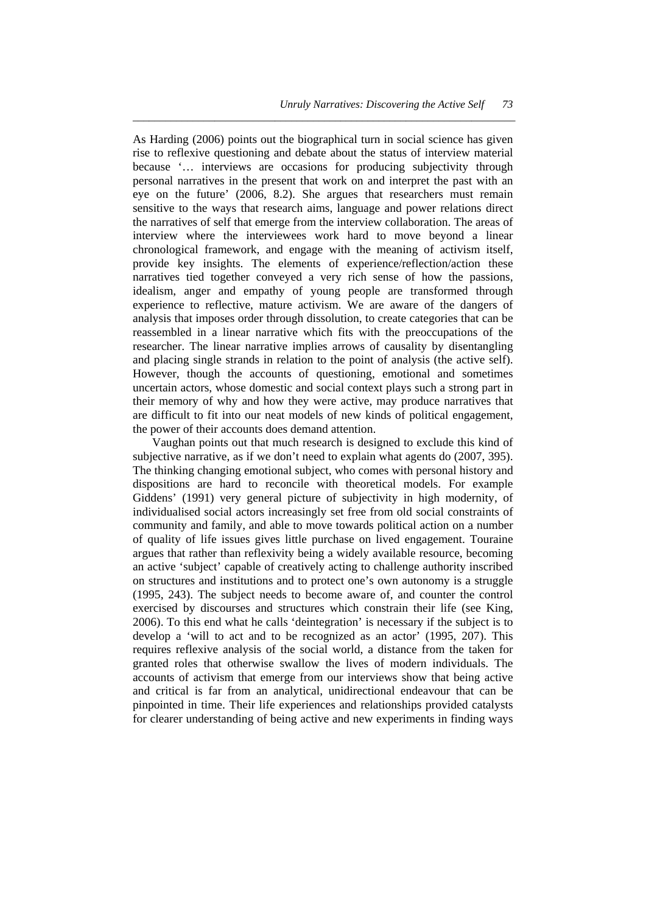As Harding (2006) points out the biographical turn in social science has given rise to reflexive questioning and debate about the status of interview material because '… interviews are occasions for producing subjectivity through personal narratives in the present that work on and interpret the past with an eye on the future' (2006, 8.2). She argues that researchers must remain sensitive to the ways that research aims, language and power relations direct the narratives of self that emerge from the interview collaboration. The areas of interview where the interviewees work hard to move beyond a linear chronological framework, and engage with the meaning of activism itself, provide key insights. The elements of experience/reflection/action these narratives tied together conveyed a very rich sense of how the passions, idealism, anger and empathy of young people are transformed through experience to reflective, mature activism. We are aware of the dangers of analysis that imposes order through dissolution, to create categories that can be reassembled in a linear narrative which fits with the preoccupations of the researcher. The linear narrative implies arrows of causality by disentangling and placing single strands in relation to the point of analysis (the active self). However, though the accounts of questioning, emotional and sometimes uncertain actors, whose domestic and social context plays such a strong part in their memory of why and how they were active, may produce narratives that are difficult to fit into our neat models of new kinds of political engagement, the power of their accounts does demand attention.

*\_\_\_\_\_\_\_\_\_\_\_\_\_\_\_\_\_\_\_\_\_\_\_\_\_\_\_\_\_\_\_\_\_\_\_\_\_\_\_\_\_\_\_\_\_\_\_\_\_\_\_\_\_\_\_\_\_\_\_\_\_\_\_\_\_\_\_\_\_\_* 

 Vaughan points out that much research is designed to exclude this kind of subjective narrative, as if we don't need to explain what agents do (2007, 395). The thinking changing emotional subject, who comes with personal history and dispositions are hard to reconcile with theoretical models. For example Giddens' (1991) very general picture of subjectivity in high modernity, of individualised social actors increasingly set free from old social constraints of community and family, and able to move towards political action on a number of quality of life issues gives little purchase on lived engagement. Touraine argues that rather than reflexivity being a widely available resource, becoming an active 'subject' capable of creatively acting to challenge authority inscribed on structures and institutions and to protect one's own autonomy is a struggle (1995, 243). The subject needs to become aware of, and counter the control exercised by discourses and structures which constrain their life (see King, 2006). To this end what he calls 'deintegration' is necessary if the subject is to develop a 'will to act and to be recognized as an actor' (1995, 207). This requires reflexive analysis of the social world, a distance from the taken for granted roles that otherwise swallow the lives of modern individuals. The accounts of activism that emerge from our interviews show that being active and critical is far from an analytical, unidirectional endeavour that can be pinpointed in time. Their life experiences and relationships provided catalysts for clearer understanding of being active and new experiments in finding ways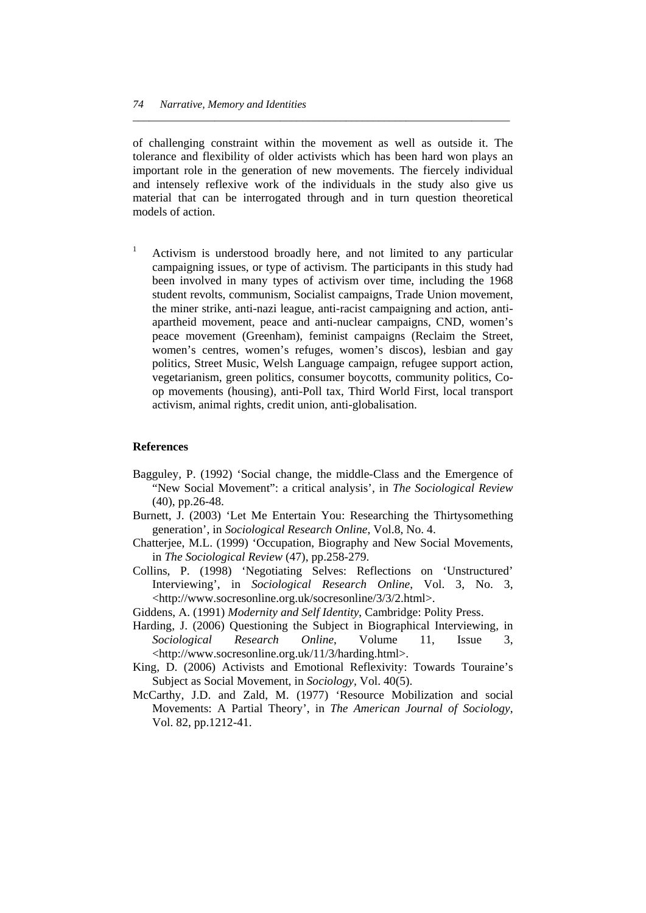of challenging constraint within the movement as well as outside it. The tolerance and flexibility of older activists which has been hard won plays an important role in the generation of new movements. The fiercely individual and intensely reflexive work of the individuals in the study also give us material that can be interrogated through and in turn question theoretical models of action.

*\_\_\_\_\_\_\_\_\_\_\_\_\_\_\_\_\_\_\_\_\_\_\_\_\_\_\_\_\_\_\_\_\_\_\_\_\_\_\_\_\_\_\_\_\_\_\_\_\_\_\_\_\_\_\_\_\_\_\_\_\_\_\_\_\_\_\_\_\_* 

1 Activism is understood broadly here, and not limited to any particular campaigning issues, or type of activism. The participants in this study had been involved in many types of activism over time, including the 1968 student revolts, communism, Socialist campaigns, Trade Union movement, the miner strike, anti-nazi league, anti-racist campaigning and action, antiapartheid movement, peace and anti-nuclear campaigns, CND, women's peace movement (Greenham), feminist campaigns (Reclaim the Street, women's centres, women's refuges, women's discos), lesbian and gay politics, Street Music, Welsh Language campaign, refugee support action, vegetarianism, green politics, consumer boycotts, community politics, Coop movements (housing), anti-Poll tax, Third World First, local transport activism, animal rights, credit union, anti-globalisation.

#### **References**

- Bagguley, P. (1992) 'Social change, the middle-Class and the Emergence of "New Social Movement": a critical analysis', in *The Sociological Review* (40), pp.26-48.
- Burnett, J. (2003) 'Let Me Entertain You: Researching the Thirtysomething generation', in *Sociological Research Online*, Vol.8, No. 4.
- Chatterjee, M.L. (1999) 'Occupation, Biography and New Social Movements, in *The Sociological Review* (47), pp.258-279.
- [Collins](http://www.swetswise.com/FullTextProxy/collins.html), P. (1998) 'Negotiating Selves: Reflections on 'Unstructured' Interviewing', in *Sociological Research Online*, Vol. 3, No. 3, <http://www.socresonline.org.uk/socresonline/3/3/2.html>.
- Giddens, A. (1991) *Modernity and Self Identity*, Cambridge: Polity Press.
- [Harding](http://www.socresonline.org.uk/11/3/harding/harding.html), J. (2006) Questioning the Subject in Biographical Interviewing, in *Sociological Research Online*, Volume 11, Issue 3, <http://www.socresonline.org.uk/11/3/harding.html>.
- King, D. (2006) Activists and Emotional Reflexivity: Towards Touraine's Subject as Social Movement, in *Sociology,* Vol. 40(5).
- McCarthy, J.D. and Zald, M. (1977) 'Resource Mobilization and social Movements: A Partial Theory', in *The American Journal of Sociology*, Vol. 82, pp.1212-41.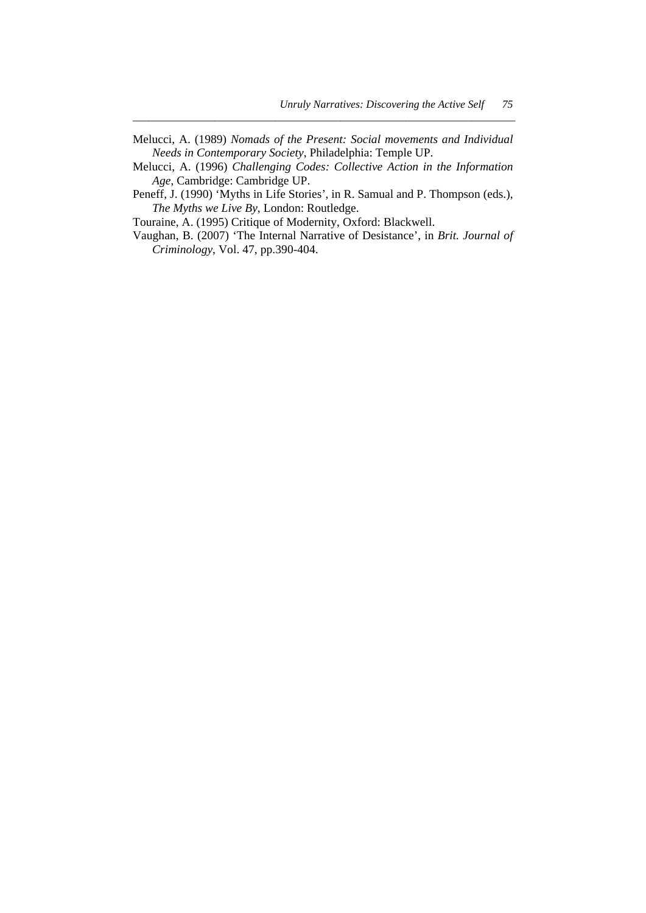Melucci, A. (1989) *Nomads of the Present: Social movements and Individual Needs in Contemporary Society*, Philadelphia: Temple UP.

*\_\_\_\_\_\_\_\_\_\_\_\_\_\_\_\_\_\_\_\_\_\_\_\_\_\_\_\_\_\_\_\_\_\_\_\_\_\_\_\_\_\_\_\_\_\_\_\_\_\_\_\_\_\_\_\_\_\_\_\_\_\_\_\_\_\_\_\_\_\_* 

- Melucci, A. (1996) *Challenging Codes: Collective Action in the Information Age*, Cambridge: Cambridge UP.
- Peneff, J. (1990) 'Myths in Life Stories', in R. Samual and P. Thompson (eds.), *The Myths we Live By*, London: Routledge.

Touraine, A. (1995) Critique of Modernity, Oxford: Blackwell.

Vaughan, B. (2007) 'The Internal Narrative of Desistance', in *Brit. Journal of Criminology*, Vol. 47, pp.390-404.